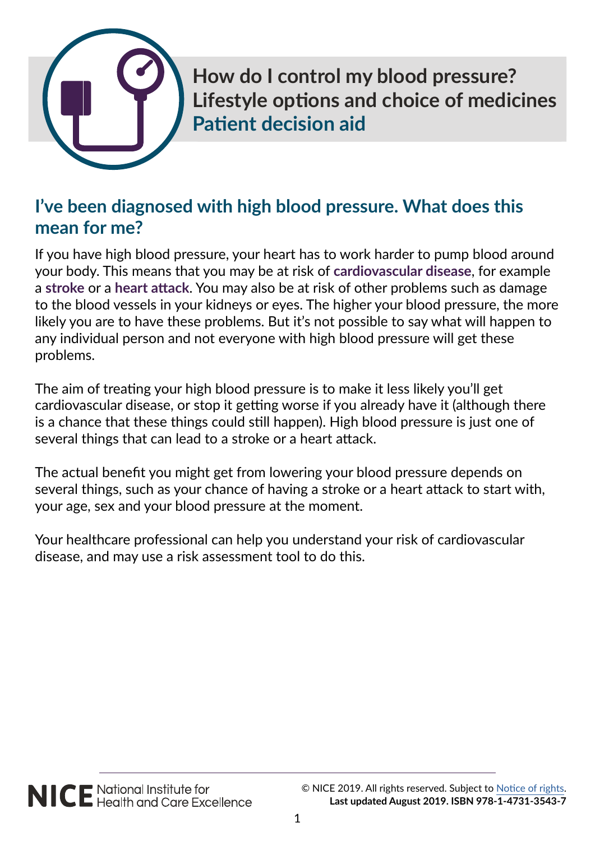

**How do I control my blood pressure? Lifestyle options and choice of medicines Patient decision aid**

# **I've been diagnosed with high blood pressure. What does this mean for me?**

If you have high blood pressure, your heart has to work harder to pump blood around your body. This means that you may be at risk of **cardiovascular disease**, for example a **stroke** or a **heart attack**. You may also be at risk of other problems such as damage to the blood vessels in your kidneys or eyes. The higher your blood pressure, the more likely you are to have these problems. But it's not possible to say what will happen to any individual person and not everyone with high blood pressure will get these problems.

The aim of treating your high blood pressure is to make it less likely you'll get cardiovascular disease, or stop it getting worse if you already have it (although there is a chance that these things could still happen). High blood pressure is just one of several things that can lead to a stroke or a heart attack.

The actual benefit you might get from lowering your blood pressure depends on several things, such as your chance of having a stroke or a heart attack to start with, your age, sex and your blood pressure at the moment.

Your healthcare professional can help you understand your risk of cardiovascular disease, and may use a risk assessment tool to do this.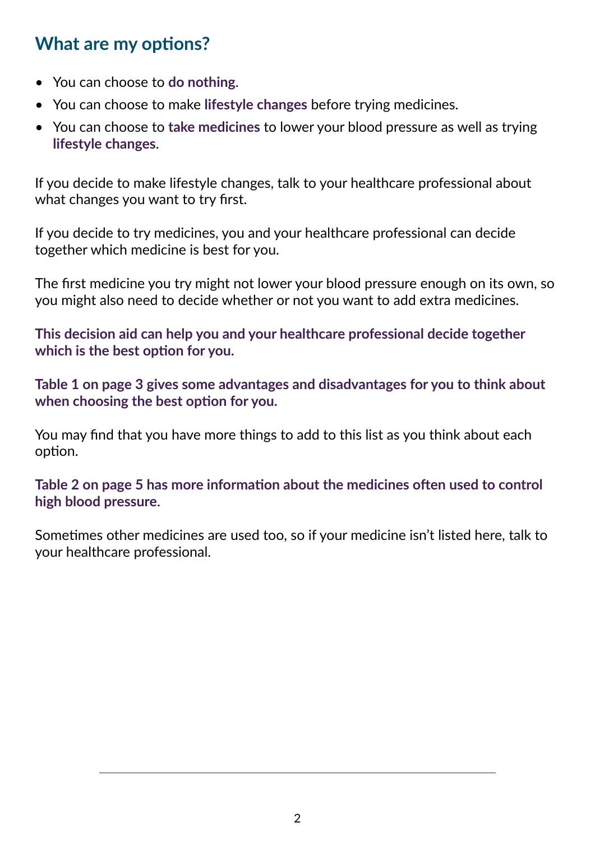# **What are my options?**

- You can choose to **do nothing**.
- You can choose to make **lifestyle changes** before trying medicines.
- You can choose to **take medicines** to lower your blood pressure as well as trying **lifestyle changes**.

If you decide to make lifestyle changes, talk to your healthcare professional about what changes you want to try first.

If you decide to try medicines, you and your healthcare professional can decide together which medicine is best for you.

The first medicine you try might not lower your blood pressure enough on its own, so you might also need to decide whether or not you want to add extra medicines.

**This decision aid can help you and your healthcare professional decide together which is the best option for you.**

**Table 1 on page 3 gives some advantages and disadvantages for you to think about when choosing the best option for you.**

You may find that you have more things to add to this list as you think about each option.

**Table 2 on page 5 has more information about the medicines often used to control high blood pressure**.

Sometimes other medicines are used too, so if your medicine isn't listed here, talk to your healthcare professional.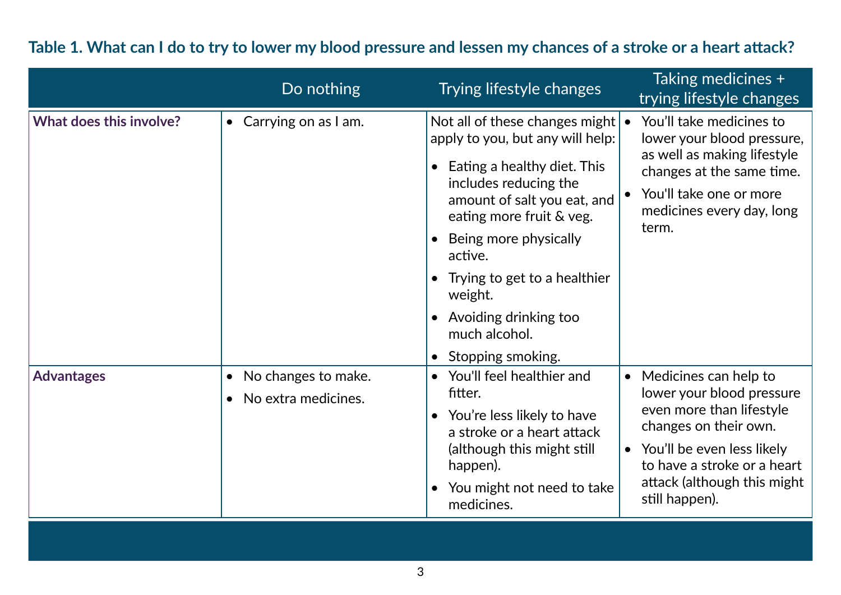## **Table 1. What can I do to try to lower my blood pressure and lessen my chances of a stroke or a heart attack?**

|                         | Do nothing                                                           | Trying lifestyle changes                                                                                                                                                                                                                                                                                                            | Taking medicines +<br>trying lifestyle changes                                                                                                                                                                                     |
|-------------------------|----------------------------------------------------------------------|-------------------------------------------------------------------------------------------------------------------------------------------------------------------------------------------------------------------------------------------------------------------------------------------------------------------------------------|------------------------------------------------------------------------------------------------------------------------------------------------------------------------------------------------------------------------------------|
| What does this involve? | Carrying on as I am.<br>$\bullet$                                    | Not all of these changes might<br>apply to you, but any will help:<br>Eating a healthy diet. This<br>includes reducing the<br>amount of salt you eat, and<br>eating more fruit & veg.<br>Being more physically<br>active.<br>Trying to get to a healthier<br>weight.<br>Avoiding drinking too<br>much alcohol.<br>Stopping smoking. | You'll take medicines to<br>lower your blood pressure,<br>as well as making lifestyle<br>changes at the same time.<br>You'll take one or more<br>medicines every day, long<br>term.                                                |
| <b>Advantages</b>       | No changes to make.<br>$\bullet$<br>No extra medicines.<br>$\bullet$ | You'll feel healthier and<br>$\bullet$<br>fitter.<br>You're less likely to have<br>$\bullet$<br>a stroke or a heart attack<br>(although this might still<br>happen).<br>You might not need to take<br>medicines.                                                                                                                    | Medicines can help to<br>$\bullet$<br>lower your blood pressure<br>even more than lifestyle<br>changes on their own.<br>You'll be even less likely<br>to have a stroke or a heart<br>attack (although this might<br>still happen). |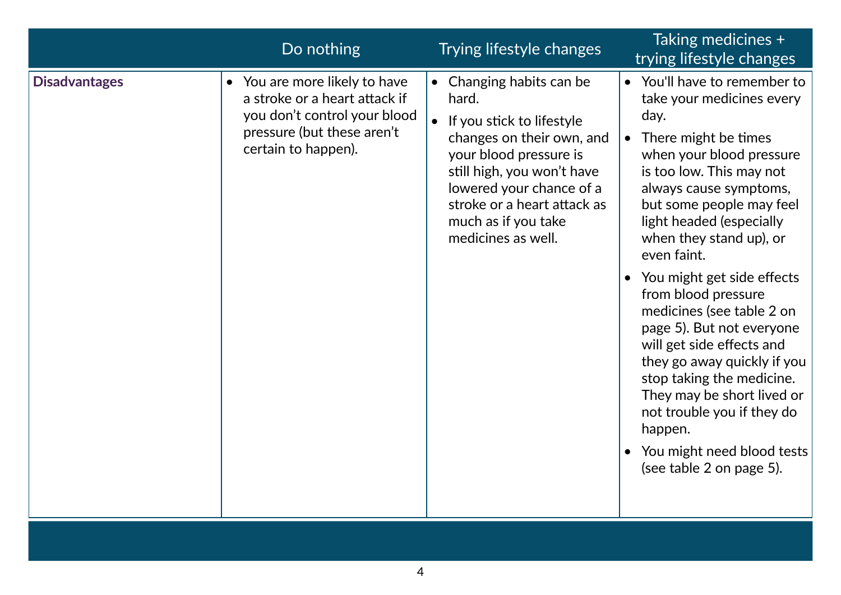| <b>Disadvantages</b><br>• You are more likely to have<br>Changing habits can be<br>a stroke or a heart attack if<br>hard.<br>you don't control your blood<br>If you stick to lifestyle<br>pressure (but these aren't<br>changes on their own, and<br>certain to happen).<br>your blood pressure is<br>still high, you won't have<br>lowered your chance of a<br>stroke or a heart attack as<br>much as if you take<br>medicines as well. | • You'll have to remember to<br>take your medicines every<br>day.<br>There might be times<br>$\bullet$<br>when your blood pressure<br>is too low. This may not<br>always cause symptoms,<br>but some people may feel<br>light headed (especially<br>when they stand up), or<br>even faint.<br>You might get side effects<br>from blood pressure<br>medicines (see table 2 on<br>page 5). But not everyone<br>will get side effects and<br>they go away quickly if you<br>stop taking the medicine.<br>They may be short lived or<br>not trouble you if they do<br>happen.<br>You might need blood tests<br>(see table 2 on page 5). |
|------------------------------------------------------------------------------------------------------------------------------------------------------------------------------------------------------------------------------------------------------------------------------------------------------------------------------------------------------------------------------------------------------------------------------------------|-------------------------------------------------------------------------------------------------------------------------------------------------------------------------------------------------------------------------------------------------------------------------------------------------------------------------------------------------------------------------------------------------------------------------------------------------------------------------------------------------------------------------------------------------------------------------------------------------------------------------------------|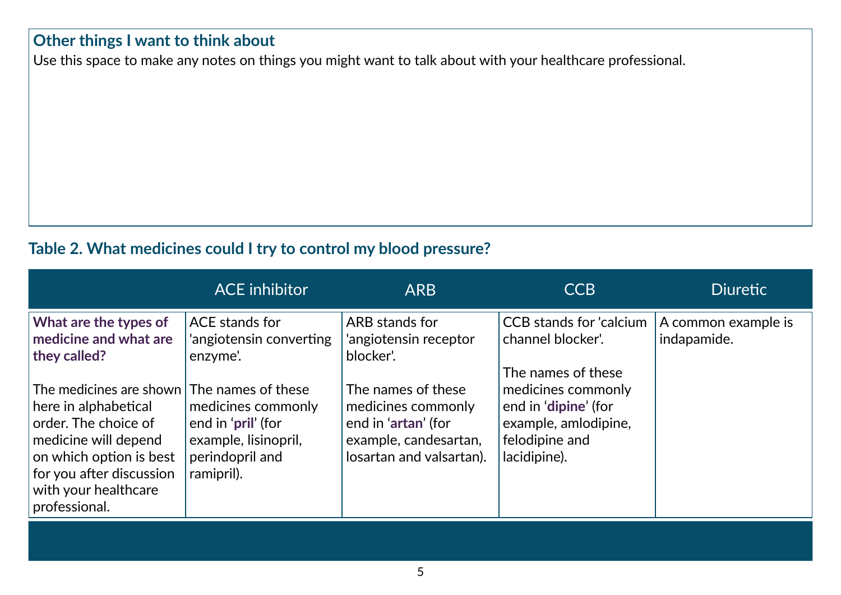#### **Other things I want to think about**

Use this space to make any notes on things you might want to talk about with your healthcare professional.

#### **Table 2. What medicines could I try to control my blood pressure?**

|                                                                                                                                                                                                                    | <b>ACE</b> inhibitor                                                                              | <b>ARB</b>                                                                                                           | <b>CCB</b>                                                                                                                 | <b>Diuretic</b>                    |
|--------------------------------------------------------------------------------------------------------------------------------------------------------------------------------------------------------------------|---------------------------------------------------------------------------------------------------|----------------------------------------------------------------------------------------------------------------------|----------------------------------------------------------------------------------------------------------------------------|------------------------------------|
| What are the types of<br>medicine and what are<br>they called?                                                                                                                                                     | ACE stands for<br>'angiotensin converting<br>enzyme'.                                             | ARB stands for<br>'angiotensin receptor<br>blocker'.                                                                 | <b>CCB</b> stands for 'calcium<br>channel blocker'.                                                                        | A common example is<br>indapamide. |
| The medicines are shown The names of these<br>here in alphabetical<br>order. The choice of<br>medicine will depend<br>on which option is best<br>for you after discussion<br>with your healthcare<br>professional. | medicines commonly<br>end in 'pril' (for<br>example, lisinopril,<br>perindopril and<br>ramipril). | The names of these<br>medicines commonly<br>end in 'artan' (for<br>example, candesartan,<br>losartan and valsartan). | The names of these<br>medicines commonly<br>end in 'dipine' (for<br>example, amlodipine,<br>felodipine and<br>lacidipine). |                                    |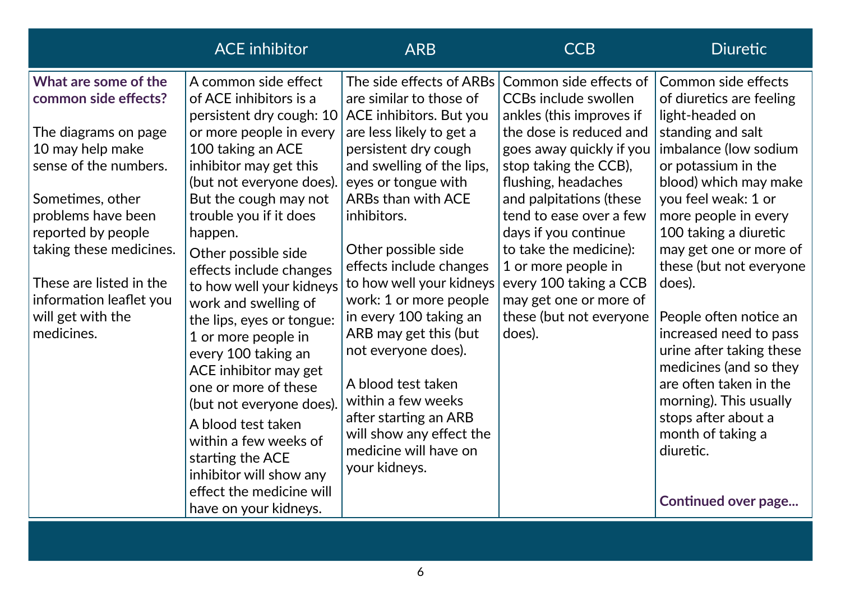|                                                                                                                                                                                                                                                                                                       | <b>ACE</b> inhibitor                                                                                                                                                                                                                                                                                                                                                                                                                                                                                                                                                            | <b>ARB</b>                                                                                                                                                                                                                                                                                                                                                                                                                                                                                                                                     | <b>CCB</b>                                                                                                                                                                                                                                                                                                                                                                                                       | <b>Diuretic</b>                                                                                                                                                                                                                                                                                                                                                                                                                                                                                                                |
|-------------------------------------------------------------------------------------------------------------------------------------------------------------------------------------------------------------------------------------------------------------------------------------------------------|---------------------------------------------------------------------------------------------------------------------------------------------------------------------------------------------------------------------------------------------------------------------------------------------------------------------------------------------------------------------------------------------------------------------------------------------------------------------------------------------------------------------------------------------------------------------------------|------------------------------------------------------------------------------------------------------------------------------------------------------------------------------------------------------------------------------------------------------------------------------------------------------------------------------------------------------------------------------------------------------------------------------------------------------------------------------------------------------------------------------------------------|------------------------------------------------------------------------------------------------------------------------------------------------------------------------------------------------------------------------------------------------------------------------------------------------------------------------------------------------------------------------------------------------------------------|--------------------------------------------------------------------------------------------------------------------------------------------------------------------------------------------------------------------------------------------------------------------------------------------------------------------------------------------------------------------------------------------------------------------------------------------------------------------------------------------------------------------------------|
| What are some of the<br>common side effects?<br>The diagrams on page<br>10 may help make<br>sense of the numbers.<br>Sometimes, other<br>problems have been<br>reported by people<br>taking these medicines.<br>These are listed in the<br>information leaflet you<br>will get with the<br>medicines. | A common side effect<br>of ACE inhibitors is a<br>persistent dry cough: 10<br>or more people in every<br>100 taking an ACE<br>inhibitor may get this<br>(but not everyone does).<br>But the cough may not<br>trouble you if it does<br>happen.<br>Other possible side<br>effects include changes<br>to how well your kidneys<br>work and swelling of<br>the lips, eyes or tongue:<br>1 or more people in<br>every 100 taking an<br>ACE inhibitor may get<br>one or more of these<br>(but not everyone does).<br>A blood test taken<br>within a few weeks of<br>starting the ACE | The side effects of ARBs<br>are similar to those of<br>ACE inhibitors. But you<br>are less likely to get a<br>persistent dry cough<br>and swelling of the lips,<br>eyes or tongue with<br><b>ARBs than with ACE</b><br>inhibitors.<br>Other possible side<br>effects include changes<br>to how well your kidneys<br>work: 1 or more people<br>in every 100 taking an<br>ARB may get this (but<br>not everyone does).<br>A blood test taken<br>within a few weeks<br>after starting an ARB<br>will show any effect the<br>medicine will have on | Common side effects of<br><b>CCBs include swollen</b><br>ankles (this improves if<br>the dose is reduced and<br>goes away quickly if you<br>stop taking the CCB),<br>flushing, headaches<br>and palpitations (these<br>tend to ease over a few<br>days if you continue<br>to take the medicine):<br>1 or more people in<br>every 100 taking a CCB<br>may get one or more of<br>these (but not everyone<br>does). | Common side effects<br>of diuretics are feeling<br>light-headed on<br>standing and salt<br>imbalance (low sodium<br>or potassium in the<br>blood) which may make<br>you feel weak: 1 or<br>more people in every<br>100 taking a diuretic<br>may get one or more of<br>these (but not everyone<br>does).<br>People often notice an<br>increased need to pass<br>urine after taking these<br>medicines (and so they<br>are often taken in the<br>morning). This usually<br>stops after about a<br>month of taking a<br>diuretic. |
|                                                                                                                                                                                                                                                                                                       | inhibitor will show any<br>effect the medicine will<br>have on your kidneys.                                                                                                                                                                                                                                                                                                                                                                                                                                                                                                    | your kidneys.                                                                                                                                                                                                                                                                                                                                                                                                                                                                                                                                  |                                                                                                                                                                                                                                                                                                                                                                                                                  | <b>Continued over page</b>                                                                                                                                                                                                                                                                                                                                                                                                                                                                                                     |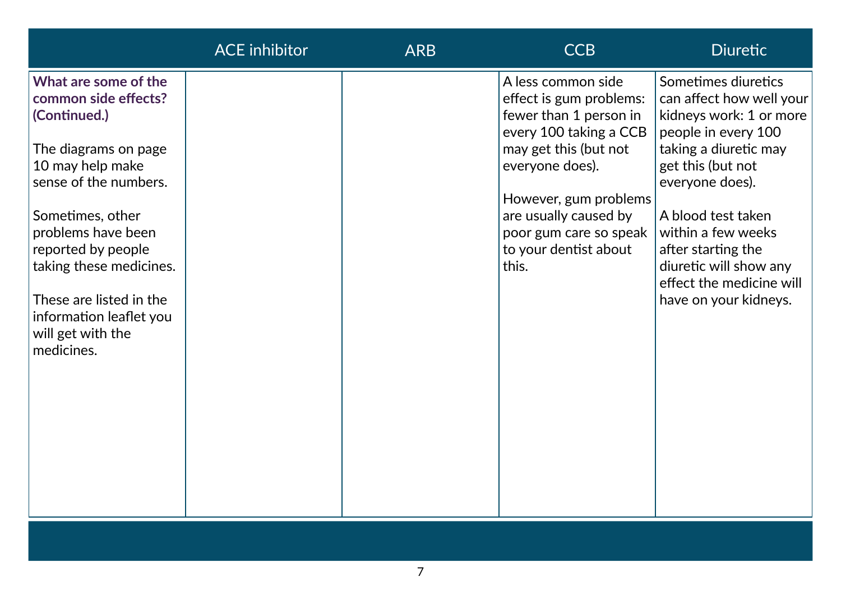|                                                                                                                                                                    | <b>ACE</b> inhibitor | <b>ARB</b> | <b>CCB</b>                                                                                                                                    | <b>Diuretic</b>                                                                                                                                                    |
|--------------------------------------------------------------------------------------------------------------------------------------------------------------------|----------------------|------------|-----------------------------------------------------------------------------------------------------------------------------------------------|--------------------------------------------------------------------------------------------------------------------------------------------------------------------|
| What are some of the<br>common side effects?<br>(Continued.)<br>The diagrams on page<br>10 may help make<br>sense of the numbers.                                  |                      |            | A less common side<br>effect is gum problems:<br>fewer than 1 person in<br>every 100 taking a CCB<br>may get this (but not<br>everyone does). | Sometimes diuretics<br>can affect how well your<br>kidneys work: 1 or more<br>people in every 100<br>taking a diuretic may<br>get this (but not<br>everyone does). |
| Sometimes, other<br>problems have been<br>reported by people<br>taking these medicines.<br>These are listed in the<br>information leaflet you<br>will get with the |                      |            | However, gum problems<br>are usually caused by<br>poor gum care so speak<br>to your dentist about<br>this.                                    | A blood test taken<br>within a few weeks<br>after starting the<br>diuretic will show any<br>effect the medicine will<br>have on your kidneys.                      |
| medicines.                                                                                                                                                         |                      |            |                                                                                                                                               |                                                                                                                                                                    |
|                                                                                                                                                                    |                      |            |                                                                                                                                               |                                                                                                                                                                    |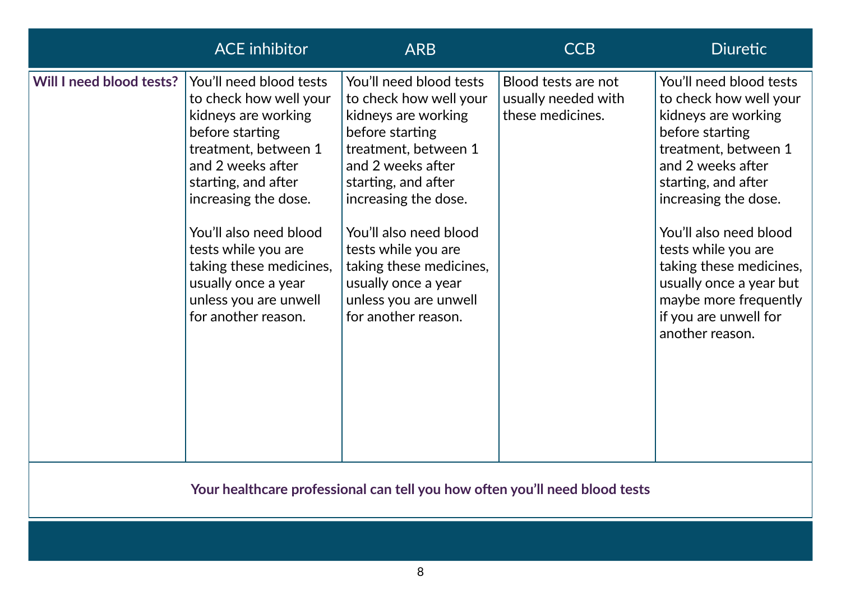|                          | <b>ACE</b> inhibitor                                                                                                                                                                                                                                                                                                                       | <b>ARB</b>                                                                                                                                                                                                                                                                                                                                 | <b>CCB</b>                                                     | <b>Diuretic</b>                                                                                                                                                                                                                                                                                                                                                     |
|--------------------------|--------------------------------------------------------------------------------------------------------------------------------------------------------------------------------------------------------------------------------------------------------------------------------------------------------------------------------------------|--------------------------------------------------------------------------------------------------------------------------------------------------------------------------------------------------------------------------------------------------------------------------------------------------------------------------------------------|----------------------------------------------------------------|---------------------------------------------------------------------------------------------------------------------------------------------------------------------------------------------------------------------------------------------------------------------------------------------------------------------------------------------------------------------|
| Will I need blood tests? | You'll need blood tests<br>to check how well your<br>kidneys are working<br>before starting<br>treatment, between 1<br>and 2 weeks after<br>starting, and after<br>increasing the dose.<br>You'll also need blood<br>tests while you are<br>taking these medicines,<br>usually once a year<br>unless you are unwell<br>for another reason. | You'll need blood tests<br>to check how well your<br>kidneys are working<br>before starting<br>treatment, between 1<br>and 2 weeks after<br>starting, and after<br>increasing the dose.<br>You'll also need blood<br>tests while you are<br>taking these medicines,<br>usually once a year<br>unless you are unwell<br>for another reason. | Blood tests are not<br>usually needed with<br>these medicines. | You'll need blood tests<br>to check how well your<br>kidneys are working<br>before starting<br>treatment, between 1<br>and 2 weeks after<br>starting, and after<br>increasing the dose.<br>You'll also need blood<br>tests while you are<br>taking these medicines,<br>usually once a year but<br>maybe more frequently<br>if you are unwell for<br>another reason. |

### **Your healthcare professional can tell you how often you'll need blood tests**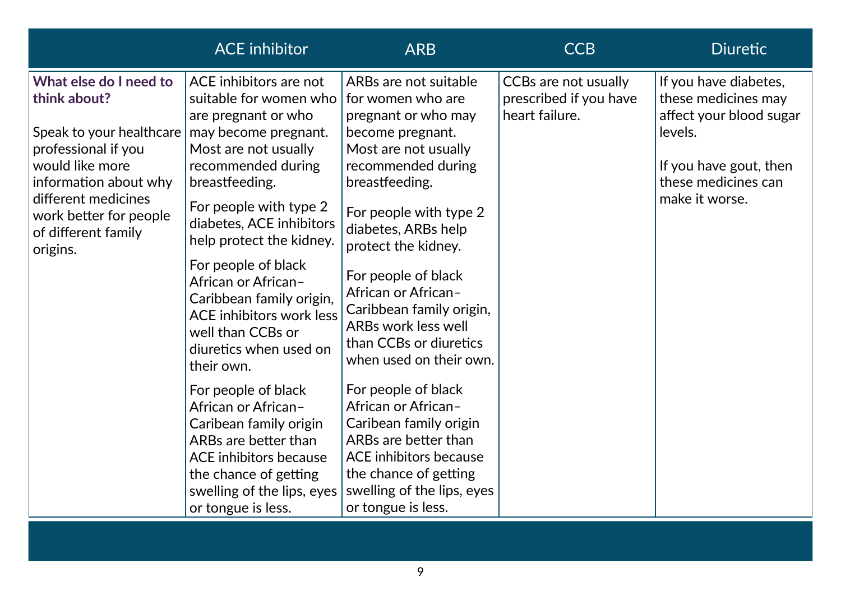|                                                                                                                                                                                        | <b>ACE</b> inhibitor                                                                                                                                                                                                    | <b>ARB</b>                                                                                                                                                                                                 | <b>CCB</b>                                                              | <b>Diuretic</b>                                                                                                                                       |
|----------------------------------------------------------------------------------------------------------------------------------------------------------------------------------------|-------------------------------------------------------------------------------------------------------------------------------------------------------------------------------------------------------------------------|------------------------------------------------------------------------------------------------------------------------------------------------------------------------------------------------------------|-------------------------------------------------------------------------|-------------------------------------------------------------------------------------------------------------------------------------------------------|
| What else do I need to<br>think about?<br>Speak to your healthcare<br>professional if you<br>would like more<br>information about why<br>different medicines<br>work better for people | ACE inhibitors are not<br>suitable for women who<br>are pregnant or who<br>may become pregnant.<br>Most are not usually<br>recommended during<br>breastfeeding.<br>For people with type 2                               | ARBs are not suitable<br>for women who are<br>pregnant or who may<br>become pregnant.<br>Most are not usually<br>recommended during<br>breastfeeding.<br>For people with type 2                            | <b>CCBs are not usually</b><br>prescribed if you have<br>heart failure. | If you have diabetes,<br>these medicines may<br>affect your blood sugar<br>levels.<br>If you have gout, then<br>these medicines can<br>make it worse. |
| of different family<br>origins.                                                                                                                                                        | diabetes, ACE inhibitors<br>help protect the kidney.<br>For people of black<br>African or African-<br>Caribbean family origin,<br>ACE inhibitors work less<br>well than CCBs or<br>diuretics when used on<br>their own. | diabetes, ARBs help<br>protect the kidney.<br>For people of black<br>African or African-<br>Caribbean family origin,<br>ARBs work less well<br>than CCBs or diuretics<br>when used on their own.           |                                                                         |                                                                                                                                                       |
|                                                                                                                                                                                        | For people of black<br>African or African-<br>Caribean family origin<br>ARBs are better than<br>ACE inhibitors because<br>the chance of getting<br>swelling of the lips, eyes<br>or tongue is less.                     | For people of black<br>African or African-<br>Caribean family origin<br>ARBs are better than<br><b>ACE</b> inhibitors because<br>the chance of getting<br>swelling of the lips, eyes<br>or tongue is less. |                                                                         |                                                                                                                                                       |